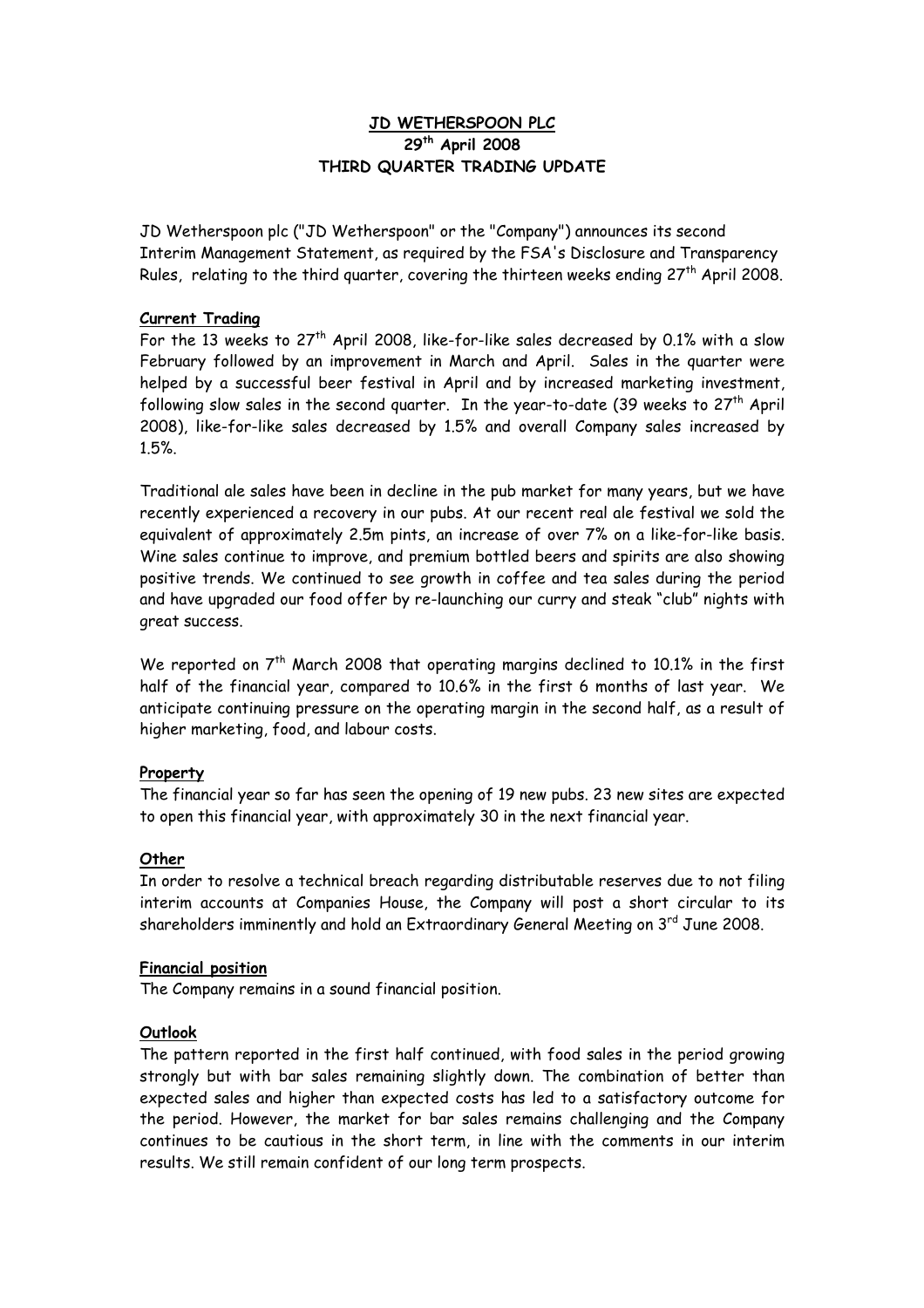# **JD WETHERSPOON PLC 29th April 2008 THIRD QUARTER TRADING UPDATE**

JD Wetherspoon plc ("JD Wetherspoon" or the "Company") announces its second Interim Management Statement, as required by the FSA's Disclosure and Transparency Rules, relating to the third quarter, covering the thirteen weeks ending  $27<sup>th</sup>$  April 2008.

## **Current Trading**

For the 13 weeks to  $27<sup>th</sup>$  April 2008, like-for-like sales decreased by 0.1% with a slow February followed by an improvement in March and April. Sales in the quarter were helped by a successful beer festival in April and by increased marketing investment, following slow sales in the second quarter. In the year-to-date (39 weeks to  $27<sup>th</sup>$  April 2008), like-for-like sales decreased by 1.5% and overall Company sales increased by 1.5%.

Traditional ale sales have been in decline in the pub market for many years, but we have recently experienced a recovery in our pubs. At our recent real ale festival we sold the equivalent of approximately 2.5m pints, an increase of over 7% on a like-for-like basis. Wine sales continue to improve, and premium bottled beers and spirits are also showing positive trends. We continued to see growth in coffee and tea sales during the period and have upgraded our food offer by re-launching our curry and steak "club" nights with great success.

We reported on 7<sup>th</sup> March 2008 that operating margins declined to 10.1% in the first half of the financial year, compared to 10.6% in the first 6 months of last year. We anticipate continuing pressure on the operating margin in the second half, as a result of higher marketing, food, and labour costs.

### **Property**

The financial year so far has seen the opening of 19 new pubs. 23 new sites are expected to open this financial year, with approximately 30 in the next financial year.

### **Other**

In order to resolve a technical breach regarding distributable reserves due to not filing interim accounts at Companies House, the Company will post a short circular to its shareholders imminently and hold an Extraordinary General Meeting on 3<sup>rd</sup> June 2008.

### **Financial position**

The Company remains in a sound financial position.

### **Outlook**

The pattern reported in the first half continued, with food sales in the period growing strongly but with bar sales remaining slightly down. The combination of better than expected sales and higher than expected costs has led to a satisfactory outcome for the period. However, the market for bar sales remains challenging and the Company continues to be cautious in the short term, in line with the comments in our interim results. We still remain confident of our long term prospects.